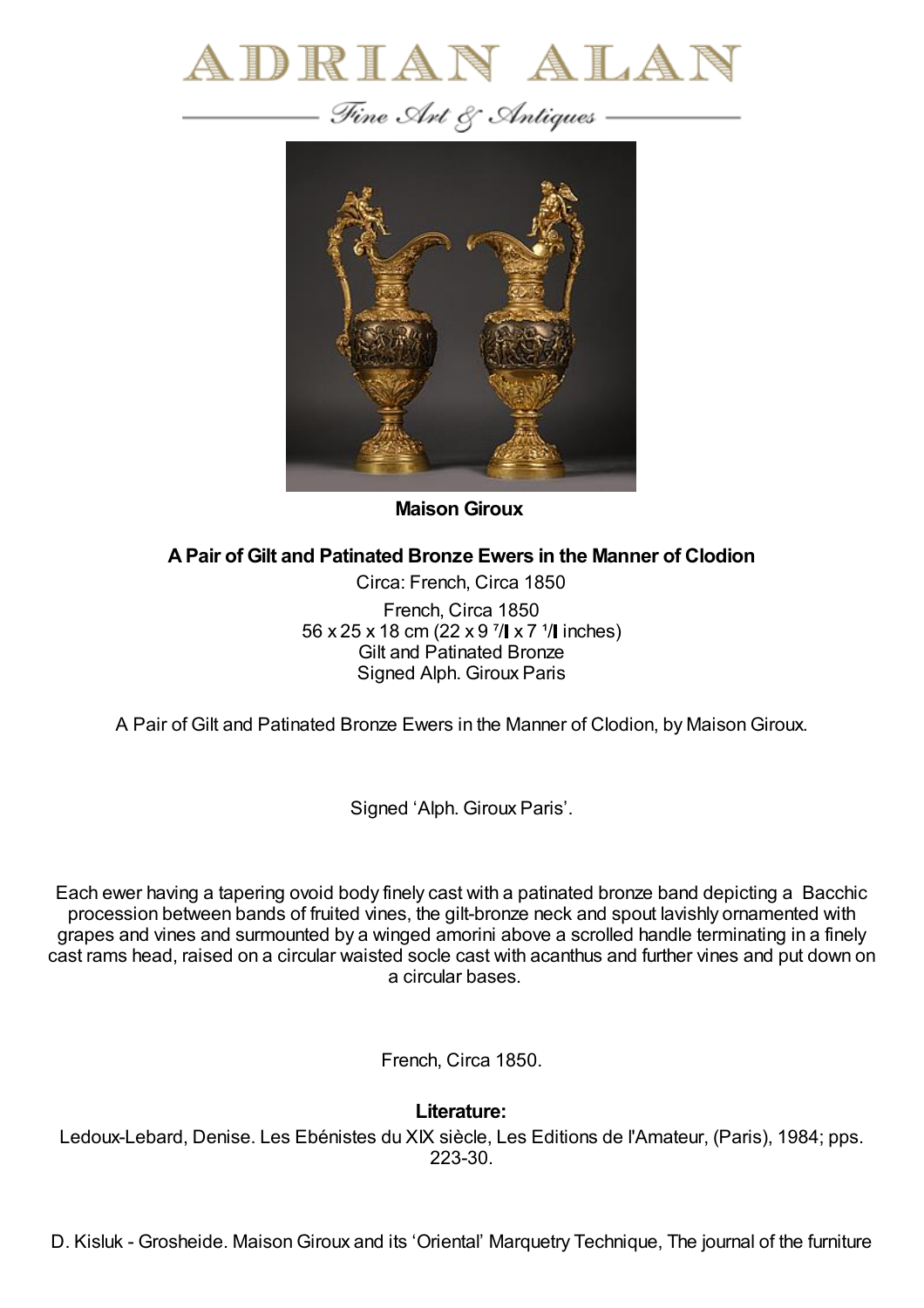



**Maison Giroux**

## **APair of Gilt and Patinated Bronze Ewers in the Manner of Clodion**

Circa: French, Circa 1850 French, Circa 1850 56 x 25 x 18 cm (22 x 9  $\frac{7}{1}$  x 7  $\frac{1}{1}$  inches) Gilt and Patinated Bronze Signed Alph. Giroux Paris

A Pair of Gilt and Patinated Bronze Ewers in the Manner of Clodion, by MaisonGiroux.

Signed 'Alph. Giroux Paris'.

Each ewer having a tapering ovoid body finely cast with a patinated bronze band depicting a Bacchic procession between bands of fruited vines, the gilt-bronze neck and spout lavishly ornamented with grapes and vines and surmounted by a winged amorini above a scrolled handle terminating in a finely cast rams head, raised on a circular waisted socle cast with acanthus and further vines and put down on a circular bases.

French, Circa 1850.

**Literature:**

Ledoux-Lebard, Denise. Les Ebénistes du XIX siècle, Les Editions de l'Amateur, (Paris), 1984; pps. 223-30.